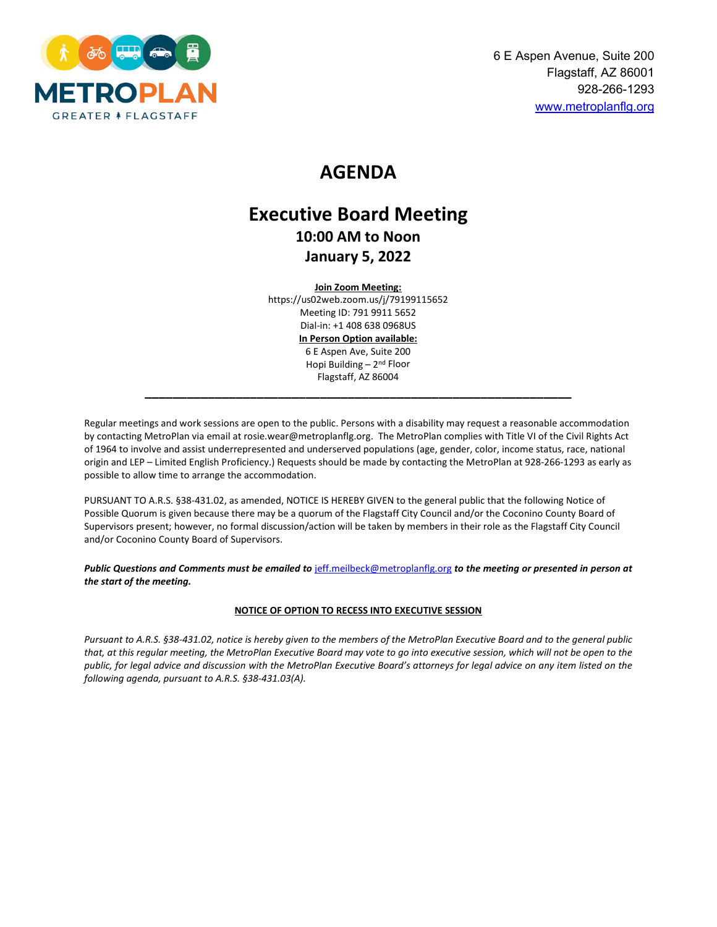

# **MEETING MINUTES**

# **Executive Board Meeting 10:00 AM to Noon January 5, 2022**

#### **Join Zoom Meeting:**

https://us02web.zoom.us/j/79199115652 Meeting ID: 791 9911 5652 Dial-in: +1 408 638 0968US **In Person Option available:** 6 E Aspen Ave, Suite 200 Hopi Building  $-2<sup>nd</sup>$  Floor Flagstaff, AZ 86004

**\_\_\_\_\_\_\_\_\_\_\_\_\_\_\_\_\_\_\_\_\_\_\_\_\_\_\_\_\_\_\_\_\_\_\_\_\_\_\_\_\_\_\_\_\_\_\_\_\_\_\_\_\_\_\_\_\_\_\_\_\_**

Regular meetings and work sessions are open to the public. Persons with a disability may request a reasonable accommodation by contacting MetroPlan via email at rosie.wear@metroplanflg.org. The MetroPlan complies with Title VI of the Civil Rights Act of 1964 to involve and assist underrepresented and underserved populations (age, gender, color, income status, race, national origin and LEP – Limited English Proficiency.) Requests should be made by contacting the MetroPlan at 928-266-1293 as early as possible to allow time to arrange the accommodation.

PURSUANT TO A.R.S. §38-431.02, as amended, NOTICE IS HEREBY GIVEN to the general public that the following Notice of Possible Quorum is given because there may be a quorum of the Flagstaff City Council and/or the Coconino County Board of Supervisors present; however, no formal discussion/action will be taken by members in their role as the Flagstaff City Council and/or Coconino County Board of Supervisors.

*Public Questions and Comments must be emailed to* [jeff.meilbeck@metroplanflg.org](mailto:jeff.meilbeck@metroplanflg.org) *to the meeting or presented in person at the start of the meeting.*

#### **NOTICE OF OPTION TO RECESS INTO EXECUTIVE SESSION**

*Pursuant to A.R.S. §38-431.02, notice is hereby given to the members of the MetroPlan Executive Board and to the general public that, at this regular meeting, the MetroPlan Executive Board may vote to go into executive session, which will not be open to the public, for legal advice and discussion with the MetroPlan Executive Board's attorneys for legal advice on any item listed on the following agenda, pursuant to A.R.S. §38-431.03(A).*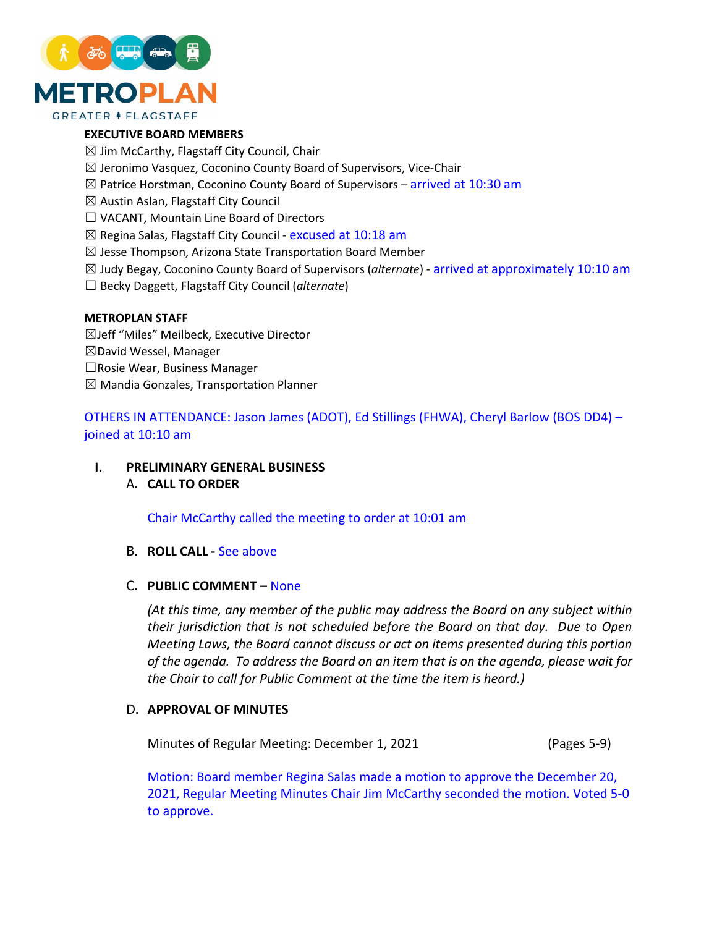

# **EXECUTIVE BOARD MEMBERS**

- $\boxtimes$  Jim McCarthy, Flagstaff City Council, Chair
- $\boxtimes$  Jeronimo Vasquez, Coconino County Board of Supervisors, Vice-Chair
- $\boxtimes$  Patrice Horstman, Coconino County Board of Supervisors arrived at 10:30 am
- ☒ Austin Aslan, Flagstaff City Council
- ☐ VACANT, Mountain Line Board of Directors
- $\boxtimes$  Regina Salas, Flagstaff City Council excused at 10:18 am
- $\boxtimes$  Jesse Thompson, Arizona State Transportation Board Member
- ☒ Judy Begay, Coconino County Board of Supervisors (*alternate*) arrived at approximately 10:10 am
- ☐ Becky Daggett, Flagstaff City Council (*alternate*)

#### **METROPLAN STAFF**

- ☒Jeff "Miles" Meilbeck, Executive Director
- ☒David Wessel, Manager
- ☐Rosie Wear, Business Manager
- $\boxtimes$  Mandia Gonzales, Transportation Planner

OTHERS IN ATTENDANCE: Jason James (Arizona Department of Transportation), Ed Stillings (Federal Highway Administration), Cheryl Barlow (Board of Supervisors Director - District 4) – joined at 10:10 am

#### /X **PRELIMINARY GENERAL BUSINESS**

# A. **CALL TO ORDER**

Chair McCarthy called the meeting to order at 10:01 am

# B. **ROLL CALL -** See above

# C. **PUBLIC COMMENT –** None

*(At this time, any member of the public may address the Board on any subject within their jurisdiction that is not scheduled before the Board on that day. Due to Open Meeting Laws, the Board cannot discuss or act on items presented during this portion of the agenda. To address the Board on an item that is on the agenda, please wait for the Chair to call for Public Comment at the time the item is heard.)*

# D. **APPROVAL OF MINUTES**

Minutes of Regular Meeting: December 1, 2021

Motion: Board member Regina Salas made a motion to approve the December 20,

2021, Regular Meeting Minutes Chair Jim McCarthy seconded the motion. Voted 5-0 to approve.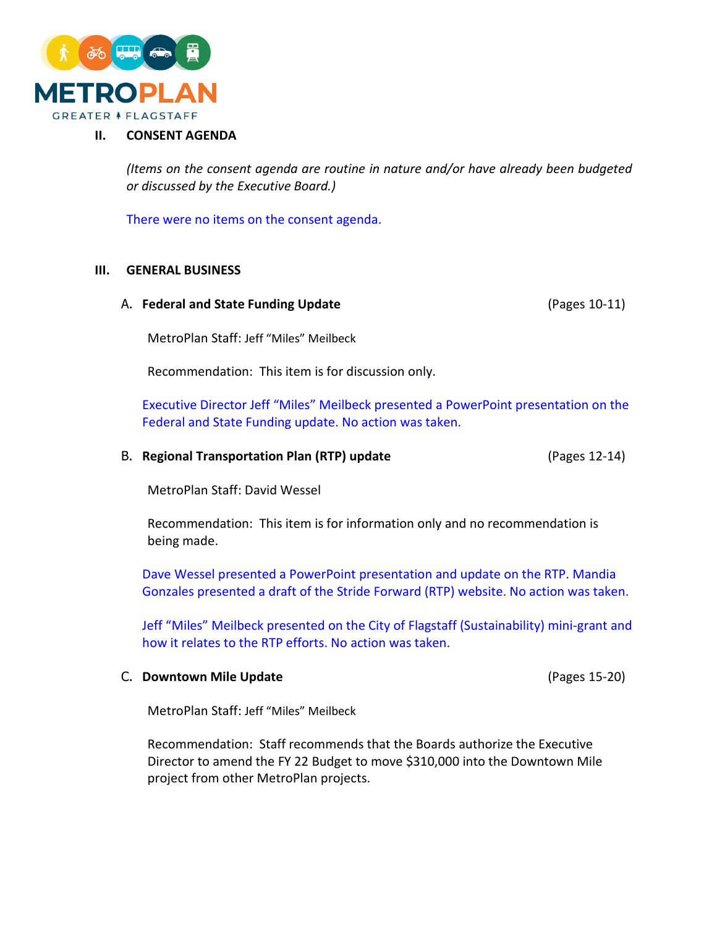

# **II. CONSENT AGENDA**

*(Items on the consent agenda are routine in nature and/or have already been budgeted or discussed by the Executive Board.)*

There were no items on the consent agenda.

#### **III. GENERAL BUSINESS**

#### A. **Federal and State Funding Update**

MetroPlan Staff: Jeff "Miles" Meilbeck

Recommendation: This item is for discussion only.

Executive Director Jeff "Miles" Meilbeck presented a PowerPoint presentation on the Federal and State Funding update. No action was taken.

# B. **Regional Transportation Plan (RTP) update**

MetroPlan Staff: David Wessel

Recommendation: This item is for information only and no recommendation is being made.

Dave Wessel presented a PowerPoint presentation and update on the RTP. Mandia Gonzales presented a draft of the Stride Forward (RTP) website. No action was taken. Jeff "Miles" Meilbeck presented on the City of Flagstaff (Sustainability) mini-grant and how it relates to the RTP efforts. No action was taken.

#### C. **Downtown Mile Update**

MetroPlan Staff: Jeff "Miles" Meilbeck

Recommendation: Staff recommends that the Boards authorize the Executive Director to amend the FY 22 Budget to move \$310,000 into the Downtown Mile project from other MetroPlan projects.